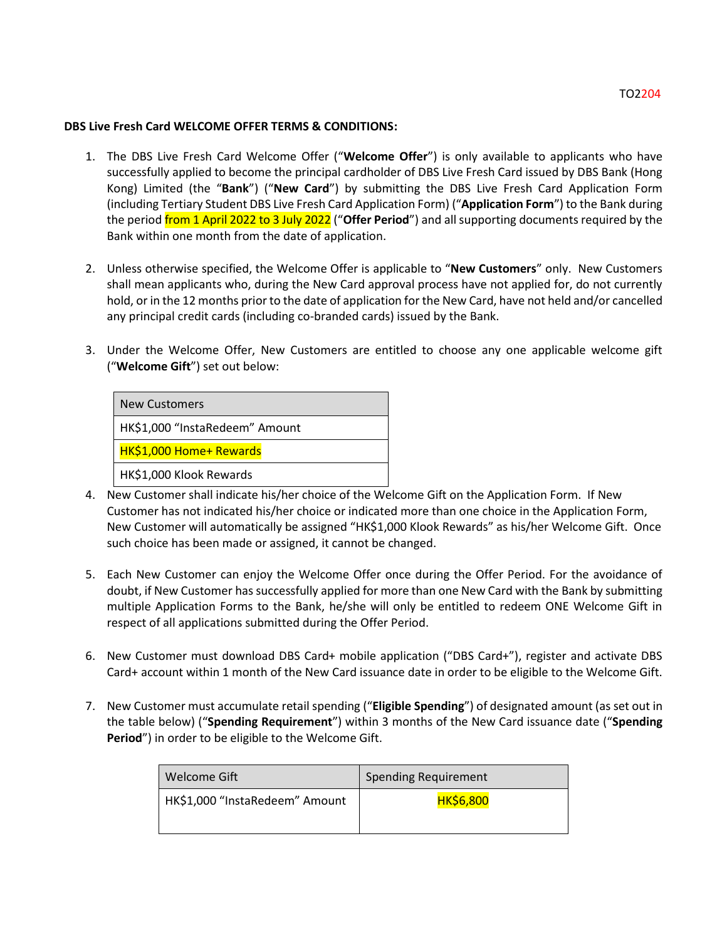## TO2204

## **DBS Live Fresh Card WELCOME OFFER TERMS & CONDITIONS:**

- 1. The DBS Live Fresh Card Welcome Offer ("**Welcome Offer**") is only available to applicants who have successfully applied to become the principal cardholder of DBS Live Fresh Card issued by DBS Bank (Hong Kong) Limited (the "**Bank**") ("**New Card**") by submitting the DBS Live Fresh Card Application Form (including Tertiary Student DBS Live Fresh Card Application Form) ("**Application Form**") to the Bank during the period from 1 April 2022 to 3 July 2022 ("**Offer Period**") and all supporting documents required by the Bank within one month from the date of application.
- 2. Unless otherwise specified, the Welcome Offer is applicable to "**New Customers**" only. New Customers shall mean applicants who, during the New Card approval process have not applied for, do not currently hold, or in the 12 months prior to the date of application for the New Card, have not held and/or cancelled any principal credit cards (including co-branded cards) issued by the Bank.
- 3. Under the Welcome Offer, New Customers are entitled to choose any one applicable welcome gift ("**Welcome Gift**") set out below:

| <b>New Customers</b>           |
|--------------------------------|
| HK\$1,000 "InstaRedeem" Amount |
| HK\$1,000 Home+ Rewards        |
| HK\$1,000 Klook Rewards        |

- 4. New Customer shall indicate his/her choice of the Welcome Gift on the Application Form. If New Customer has not indicated his/her choice or indicated more than one choice in the Application Form, New Customer will automatically be assigned "HK\$1,000 Klook Rewards" as his/her Welcome Gift. Once such choice has been made or assigned, it cannot be changed.
- 5. Each New Customer can enjoy the Welcome Offer once during the Offer Period. For the avoidance of doubt, if New Customer has successfully applied for more than one New Card with the Bank by submitting multiple Application Forms to the Bank, he/she will only be entitled to redeem ONE Welcome Gift in respect of all applications submitted during the Offer Period.
- 6. New Customer must download DBS Card+ mobile application ("DBS Card+"), register and activate DBS Card+ account within 1 month of the New Card issuance date in order to be eligible to the Welcome Gift.
- 7. New Customer must accumulate retail spending ("**Eligible Spending**") of designated amount (as set out in the table below) ("**Spending Requirement**") within 3 months of the New Card issuance date ("**Spending Period**") in order to be eligible to the Welcome Gift.

| Welcome Gift                   | <b>Spending Requirement</b> |
|--------------------------------|-----------------------------|
| HK\$1,000 "InstaRedeem" Amount | <b>HK\$6,800</b>            |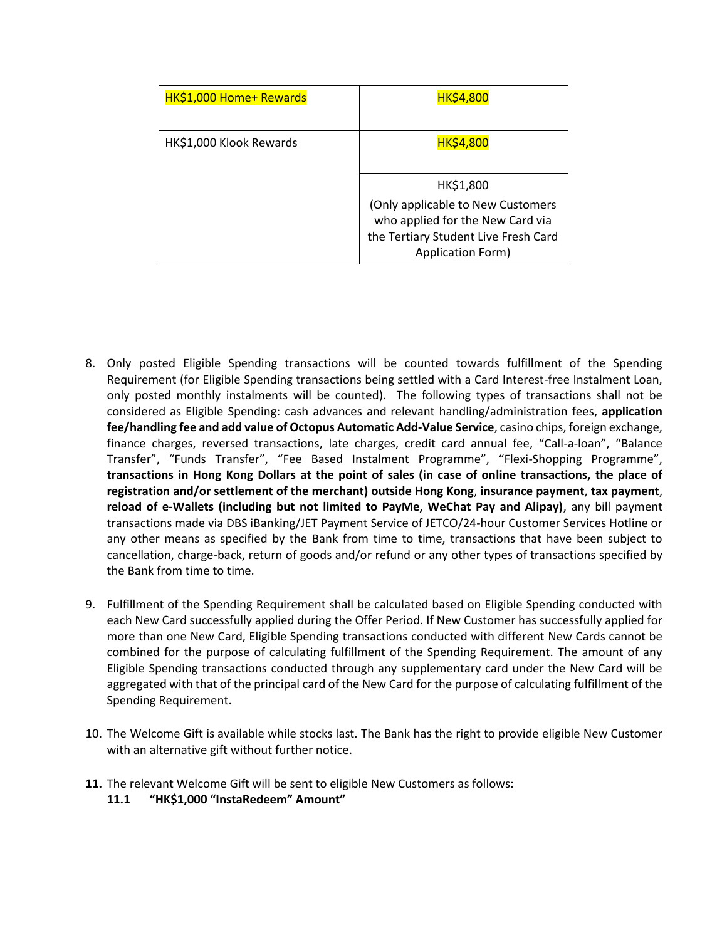| HK\$1,000 Home+ Rewards | <b>HK\$4,800</b>                                                                                                                   |
|-------------------------|------------------------------------------------------------------------------------------------------------------------------------|
| HK\$1,000 Klook Rewards | <b>HK\$4,800</b>                                                                                                                   |
|                         | HK\$1,800                                                                                                                          |
|                         | (Only applicable to New Customers<br>who applied for the New Card via<br>the Tertiary Student Live Fresh Card<br>Application Form) |

- 8. Only posted Eligible Spending transactions will be counted towards fulfillment of the Spending Requirement (for Eligible Spending transactions being settled with a Card Interest-free Instalment Loan, only posted monthly instalments will be counted). The following types of transactions shall not be considered as Eligible Spending: cash advances and relevant handling/administration fees, **application fee/handling fee and add value of Octopus Automatic Add-Value Service**, casino chips, foreign exchange, finance charges, reversed transactions, late charges, credit card annual fee, "Call-a-loan", "Balance Transfer", "Funds Transfer", "Fee Based Instalment Programme", "Flexi-Shopping Programme", **transactions in Hong Kong Dollars at the point of sales (in case of online transactions, the place of registration and/or settlement of the merchant) outside Hong Kong**, **insurance payment**, **tax payment**, **reload of e-Wallets (including but not limited to PayMe, WeChat Pay and Alipay)**, any bill payment transactions made via DBS iBanking/JET Payment Service of JETCO/24-hour Customer Services Hotline or any other means as specified by the Bank from time to time, transactions that have been subject to cancellation, charge-back, return of goods and/or refund or any other types of transactions specified by the Bank from time to time.
- 9. Fulfillment of the Spending Requirement shall be calculated based on Eligible Spending conducted with each New Card successfully applied during the Offer Period. If New Customer has successfully applied for more than one New Card, Eligible Spending transactions conducted with different New Cards cannot be combined for the purpose of calculating fulfillment of the Spending Requirement. The amount of any Eligible Spending transactions conducted through any supplementary card under the New Card will be aggregated with that of the principal card of the New Card for the purpose of calculating fulfillment of the Spending Requirement.
- 10. The Welcome Gift is available while stocks last. The Bank has the right to provide eligible New Customer with an alternative gift without further notice.
- **11.** The relevant Welcome Gift will be sent to eligible New Customers as follows:
	- **11.1 "HK\$1,000 "InstaRedeem" Amount"**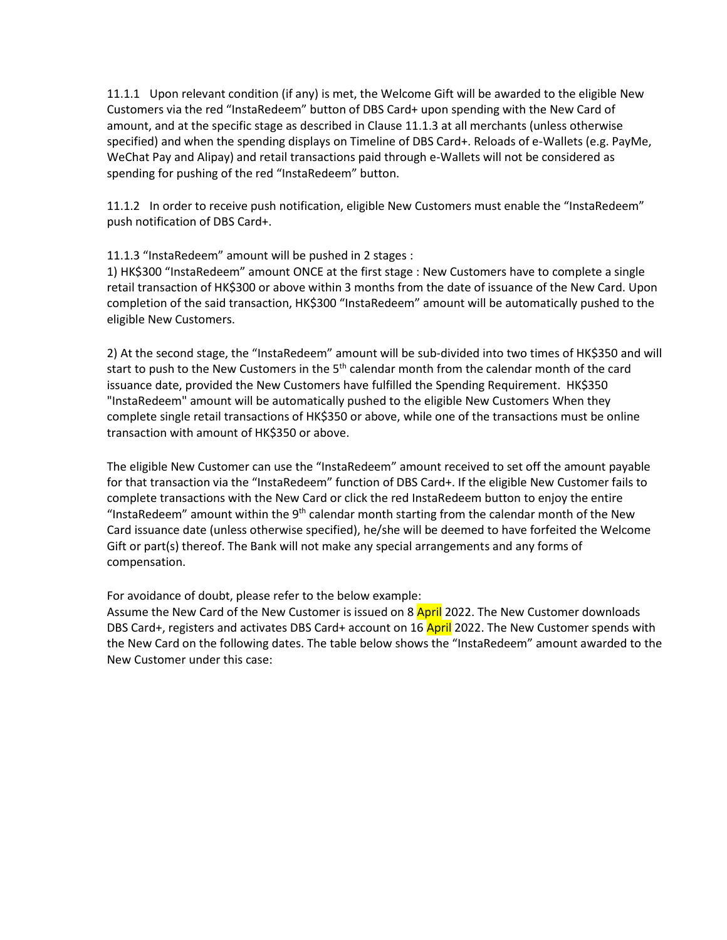11.1.1 Upon relevant condition (if any) is met, the Welcome Gift will be awarded to the eligible New Customers via the red "InstaRedeem" button of DBS Card+ upon spending with the New Card of amount, and at the specific stage as described in Clause 11.1.3 at all merchants (unless otherwise specified) and when the spending displays on Timeline of DBS Card+. Reloads of e-Wallets (e.g. PayMe, WeChat Pay and Alipay) and retail transactions paid through e-Wallets will not be considered as spending for pushing of the red "InstaRedeem" button.

11.1.2 In order to receive push notification, eligible New Customers must enable the "InstaRedeem" push notification of DBS Card+.

11.1.3 "InstaRedeem" amount will be pushed in 2 stages :

1) HK\$300 "InstaRedeem" amount ONCE at the first stage : New Customers have to complete a single retail transaction of HK\$300 or above within 3 months from the date of issuance of the New Card. Upon completion of the said transaction, HK\$300 "InstaRedeem" amount will be automatically pushed to the eligible New Customers.

2) At the second stage, the "InstaRedeem" amount will be sub-divided into two times of HK\$350 and will start to push to the New Customers in the 5<sup>th</sup> calendar month from the calendar month of the card issuance date, provided the New Customers have fulfilled the Spending Requirement. HK\$350 "InstaRedeem" amount will be automatically pushed to the eligible New Customers When they complete single retail transactions of HK\$350 or above, while one of the transactions must be online transaction with amount of HK\$350 or above.

The eligible New Customer can use the "InstaRedeem" amount received to set off the amount payable for that transaction via the "InstaRedeem" function of DBS Card+. If the eligible New Customer fails to complete transactions with the New Card or click the red InstaRedeem button to enjoy the entire "InstaRedeem" amount within the  $9<sup>th</sup>$  calendar month starting from the calendar month of the New Card issuance date (unless otherwise specified), he/she will be deemed to have forfeited the Welcome Gift or part(s) thereof. The Bank will not make any special arrangements and any forms of compensation.

For avoidance of doubt, please refer to the below example:

Assume the New Card of the New Customer is issued on 8 April 2022. The New Customer downloads DBS Card+, registers and activates DBS Card+ account on 16 April 2022. The New Customer spends with the New Card on the following dates. The table below shows the "InstaRedeem" amount awarded to the New Customer under this case: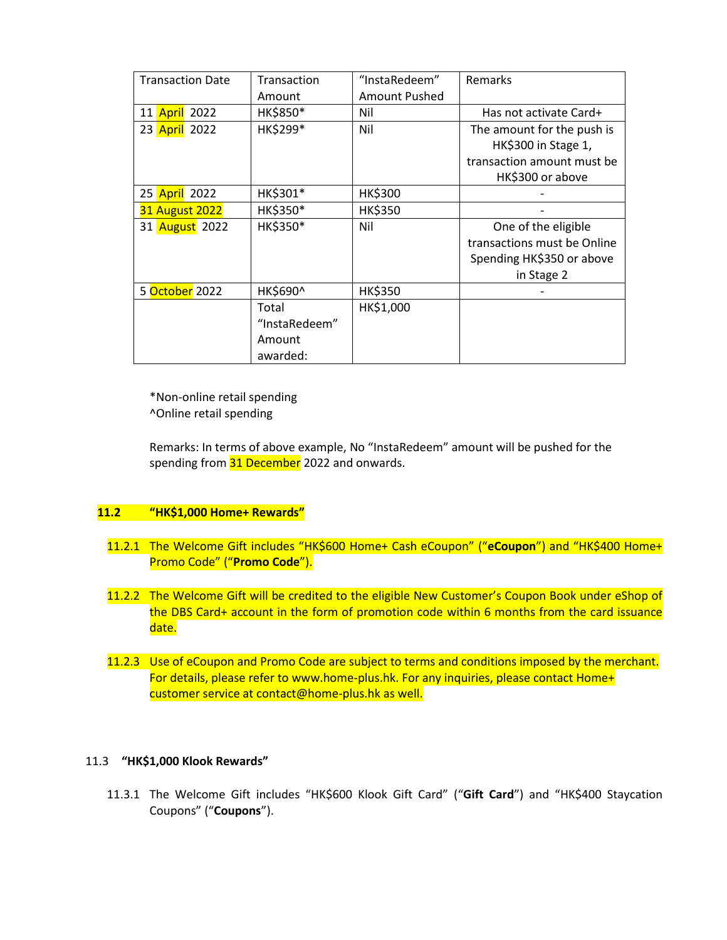| <b>Transaction Date</b> | Transaction   | "InstaRedeem"        | <b>Remarks</b>              |
|-------------------------|---------------|----------------------|-----------------------------|
|                         | Amount        | <b>Amount Pushed</b> |                             |
| 11 April 2022           | HK\$850*      | Nil                  | Has not activate Card+      |
| 23 April 2022           | HK\$299*      | Nil                  | The amount for the push is  |
|                         |               |                      | HK\$300 in Stage 1,         |
|                         |               |                      | transaction amount must be  |
|                         |               |                      | HK\$300 or above            |
| 25 April 2022           | HK\$301*      | <b>HK\$300</b>       |                             |
| <b>31 August 2022</b>   | HK\$350*      | <b>HK\$350</b>       |                             |
| 31 August 2022          | HK\$350*      | Nil                  | One of the eligible         |
|                         |               |                      | transactions must be Online |
|                         |               |                      | Spending HK\$350 or above   |
|                         |               |                      | in Stage 2                  |
| 5 October 2022          | HK\$690^      | <b>HK\$350</b>       |                             |
|                         | Total         | HK\$1,000            |                             |
|                         | "InstaRedeem" |                      |                             |
|                         | Amount        |                      |                             |
|                         | awarded:      |                      |                             |

\*Non-online retail spending ^Online retail spending

Remarks: In terms of above example, No "InstaRedeem" amount will be pushed for the spending from 31 December 2022 and onwards.

## **11.2 "HK\$1,000 Home+ Rewards"**

- 11.2.1 The Welcome Gift includes "HK\$600 Home+ Cash eCoupon" ("**eCoupon**") and "HK\$400 Home+ Promo Code" ("**Promo Code**").
- 11.2.2 The Welcome Gift will be credited to the eligible New Customer's Coupon Book under eShop of the DBS Card+ account in the form of promotion code within 6 months from the card issuance date.
- 11.2.3 Use of eCoupon and Promo Code are subject to terms and conditions imposed by the merchant. For details, please refer to www.home-plus.hk. For any inquiries, please contact Home+ customer service at contact@home-plus.hk as well.

## 11.3 **"HK\$1,000 Klook Rewards"**

11.3.1 The Welcome Gift includes "HK\$600 Klook Gift Card" ("**Gift Card**") and "HK\$400 Staycation Coupons" ("**Coupons**").